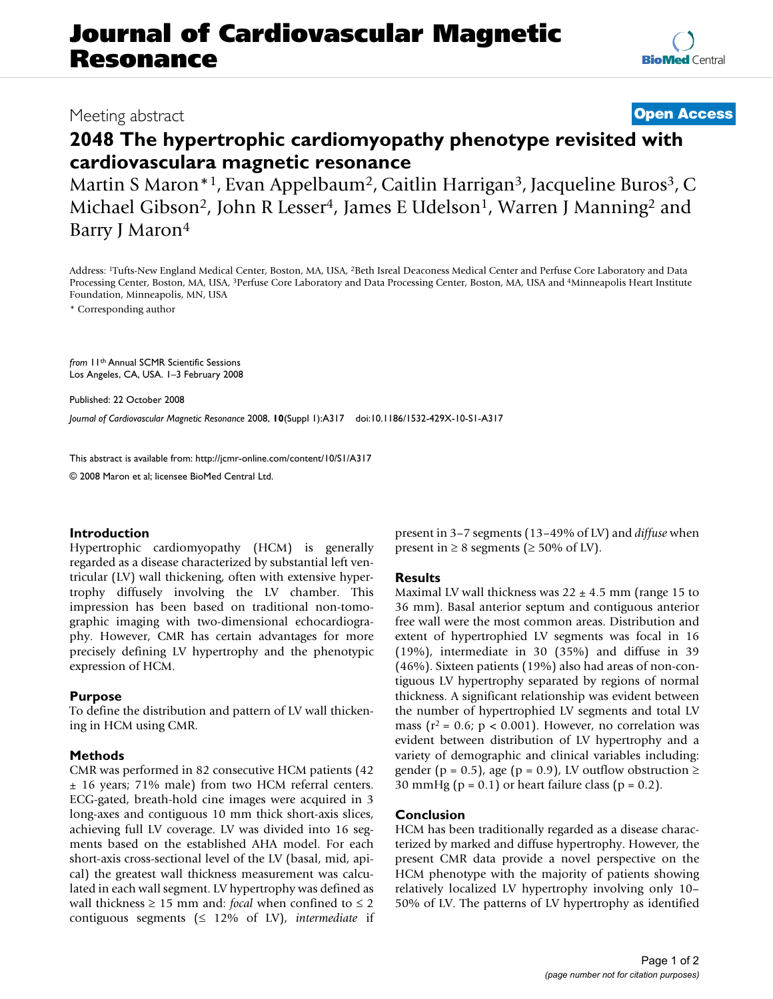**[BioMed](http://www.biomedcentral.com/)** Central

# **2048 The hypertrophic cardiomyopathy phenotype revisited with cardiovasculara magnetic resonance**

Martin S Maron<sup>\*1</sup>, Evan Appelbaum<sup>2</sup>, Caitlin Harrigan<sup>3</sup>, Jacqueline Buros<sup>3</sup>, C Michael Gibson<sup>2</sup>, John R Lesser<sup>4</sup>, James E Udelson<sup>1</sup>, Warren J Manning<sup>2</sup> and Barry J Maron4

Address: 1Tufts-New England Medical Center, Boston, MA, USA, 2Beth Isreal Deaconess Medical Center and Perfuse Core Laboratory and Data Processing Center, Boston, MA, USA, 3Perfuse Core Laboratory and Data Processing Center, Boston, MA, USA and 4Minneapolis Heart Institute Foundation, Minneapolis, MN, USA

\* Corresponding author

*from* 11th Annual SCMR Scientific Sessions Los Angeles, CA, USA. 1–3 February 2008

Published: 22 October 2008

*Journal of Cardiovascular Magnetic Resonance* 2008, **10**(Suppl 1):A317 doi:10.1186/1532-429X-10-S1-A317

[This abstract is available from: http://jcmr-online.com/content/10/S1/A317](http://jcmr-online.com/content/10/S1/A317)

© 2008 Maron et al; licensee BioMed Central Ltd.

## **Introduction**

Hypertrophic cardiomyopathy (HCM) is generally regarded as a disease characterized by substantial left ventricular (LV) wall thickening, often with extensive hypertrophy diffusely involving the LV chamber. This impression has been based on traditional non-tomographic imaging with two-dimensional echocardiography. However, CMR has certain advantages for more precisely defining LV hypertrophy and the phenotypic expression of HCM.

## **Purpose**

To define the distribution and pattern of LV wall thickening in HCM using CMR.

## **Methods**

CMR was performed in 82 consecutive HCM patients (42 ± 16 years; 71% male) from two HCM referral centers. ECG-gated, breath-hold cine images were acquired in 3 long-axes and contiguous 10 mm thick short-axis slices, achieving full LV coverage. LV was divided into 16 segments based on the established AHA model. For each short-axis cross-sectional level of the LV (basal, mid, apical) the greatest wall thickness measurement was calculated in each wall segment. LV hypertrophy was defined as wall thickness ≥ 15 mm and: *focal* when confined to ≤ 2 contiguous segments (≤ 12% of LV), *intermediate* if present in 3–7 segments (13–49% of LV) and *diffuse* when present in  $\geq 8$  segments ( $\geq 50\%$  of LV).

## **Results**

Maximal LV wall thickness was  $22 \pm 4.5$  mm (range 15 to 36 mm). Basal anterior septum and contiguous anterior free wall were the most common areas. Distribution and extent of hypertrophied LV segments was focal in 16 (19%), intermediate in 30 (35%) and diffuse in 39 (46%). Sixteen patients (19%) also had areas of non-contiguous LV hypertrophy separated by regions of normal thickness. A significant relationship was evident between the number of hypertrophied LV segments and total LV mass ( $r^2$  = 0.6;  $p < 0.001$ ). However, no correlation was evident between distribution of LV hypertrophy and a variety of demographic and clinical variables including: gender (p = 0.5), age (p = 0.9), LV outflow obstruction  $\ge$ 30 mmHg ( $p = 0.1$ ) or heart failure class ( $p = 0.2$ ).

## **Conclusion**

HCM has been traditionally regarded as a disease characterized by marked and diffuse hypertrophy. However, the present CMR data provide a novel perspective on the HCM phenotype with the majority of patients showing relatively localized LV hypertrophy involving only 10– 50% of LV. The patterns of LV hypertrophy as identified